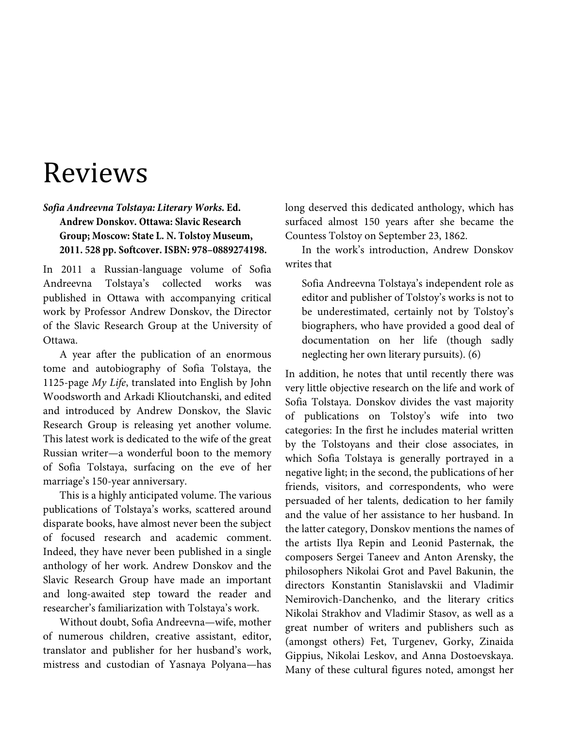## Reviews

## *Sofia Andreevna Tolstaya: Literary Works.* **Ed. Andrew Donskov. Ottawa: Slavic Research Group; Moscow: State L. N. Tolstoy Museum, 2011. 528 pp. Softcover. ISBN: 978–0889274198.**

In 2011 a Russian-language volume of Sofia Andreevna Tolstaya's collected works was published in Ottawa with accompanying critical work by Professor Andrew Donskov, the Director of the Slavic Research Group at the University of Ottawa.

A year after the publication of an enormous tome and autobiography of Sofia Tolstaya, the 1125-page *My Life*, translated into English by John Woodsworth and Arkadi Klioutchanski, and edited and introduced by Andrew Donskov, the Slavic Research Group is releasing yet another volume. This latest work is dedicated to the wife of the great Russian writer—a wonderful boon to the memory of Sofia Tolstaya, surfacing on the eve of her marriage's 150-year anniversary.

This is a highly anticipated volume. The various publications of Tolstaya's works, scattered around disparate books, have almost never been the subject of focused research and academic comment. Indeed, they have never been published in a single anthology of her work. Andrew Donskov and the Slavic Research Group have made an important and long-awaited step toward the reader and researcher's familiarization with Tolstaya's work.

Without doubt, Sofia Andreevna—wife, mother of numerous children, creative assistant, editor, translator and publisher for her husband's work, mistress and custodian of Yasnaya Polyana—has long deserved this dedicated anthology, which has surfaced almost 150 years after she became the Countess Tolstoy on September 23, 1862.

In the work's introduction, Andrew Donskov writes that

Sofia Andreevna Tolstaya's independent role as editor and publisher of Tolstoy's works is not to be underestimated, certainly not by Tolstoy's biographers, who have provided a good deal of documentation on her life (though sadly neglecting her own literary pursuits). (6)

In addition, he notes that until recently there was very little objective research on the life and work of Sofia Tolstaya. Donskov divides the vast majority of publications on Tolstoy's wife into two categories: In the first he includes material written by the Tolstoyans and their close associates, in which Sofia Tolstaya is generally portrayed in a negative light; in the second, the publications of her friends, visitors, and correspondents, who were persuaded of her talents, dedication to her family and the value of her assistance to her husband. In the latter category, Donskov mentions the names of the artists Ilya Repin and Leonid Pasternak, the composers Sergei Taneev and Anton Arensky, the philosophers Nikolai Grot and Pavel Bakunin, the directors Konstantin Stanislavskii and Vladimir Nemirovich-Danchenko, and the literary critics Nikolai Strakhov and Vladimir Stasov, as well as a great number of writers and publishers such as (amongst others) Fet, Turgenev, Gorky, Zinaida Gippius, Nikolai Leskov, and Anna Dostoevskaya. Many of these cultural figures noted, amongst her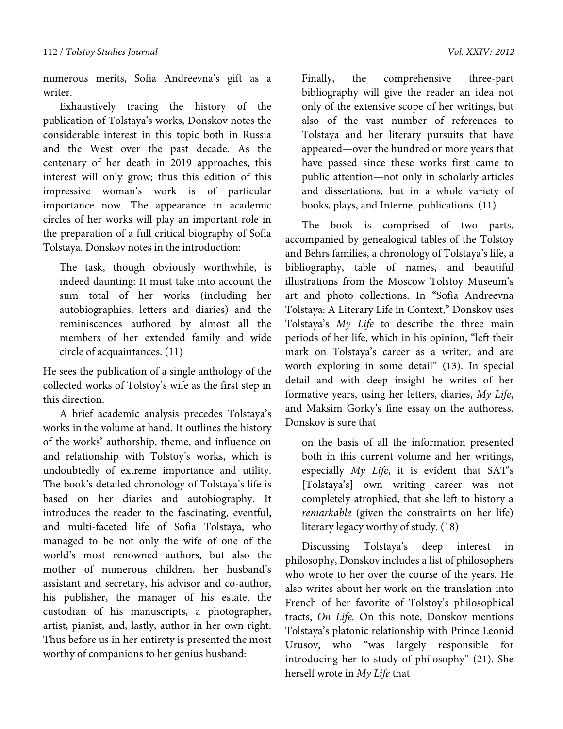numerous merits, Sofia Andreevna's gift as a writer.

Exhaustively tracing the history of the publication of Tolstaya's works, Donskov notes the considerable interest in this topic both in Russia and the West over the past decade. As the centenary of her death in 2019 approaches, this interest will only grow; thus this edition of this impressive woman's work is of particular importance now. The appearance in academic circles of her works will play an important role in the preparation of a full critical biography of Sofia Tolstaya. Donskov notes in the introduction:

The task, though obviously worthwhile, is indeed daunting: It must take into account the sum total of her works (including her autobiographies, letters and diaries) and the reminiscences authored by almost all the members of her extended family and wide circle of acquaintances. (11)

He sees the publication of a single anthology of the collected works of Tolstoy's wife as the first step in this direction.

A brief academic analysis precedes Tolstaya's works in the volume at hand. It outlines the history of the works' authorship, theme, and influence on and relationship with Tolstoy's works, which is undoubtedly of extreme importance and utility. The book's detailed chronology of Tolstaya's life is based on her diaries and autobiography. It introduces the reader to the fascinating, eventful, and multi-faceted life of Sofia Tolstaya, who managed to be not only the wife of one of the world's most renowned authors, but also the mother of numerous children, her husband's assistant and secretary, his advisor and co-author, his publisher, the manager of his estate, the custodian of his manuscripts, a photographer, artist, pianist, and, lastly, author in her own right. Thus before us in her entirety is presented the most worthy of companions to her genius husband:

Finally, the comprehensive three-part bibliography will give the reader an idea not only of the extensive scope of her writings, but also of the vast number of references to Tolstaya and her literary pursuits that have appeared—over the hundred or more years that have passed since these works first came to public attention—not only in scholarly articles and dissertations, but in a whole variety of books, plays, and Internet publications. (11)

The book is comprised of two parts, accompanied by genealogical tables of the Tolstoy and Behrs families, a chronology of Tolstaya's life, a bibliography, table of names, and beautiful illustrations from the Moscow Tolstoy Museum's art and photo collections. In "Sofia Andreevna Tolstaya: A Literary Life in Context," Donskov uses Tolstaya's *My Life* to describe the three main periods of her life, which in his opinion, "left their mark on Tolstaya's career as a writer, and are worth exploring in some detail" (13). In special detail and with deep insight he writes of her formative years, using her letters, diaries, *My Life*, and Maksim Gorky's fine essay on the authoress. Donskov is sure that

on the basis of all the information presented both in this current volume and her writings, especially *My Life*, it is evident that SAT's [Tolstaya's] own writing career was not completely atrophied, that she left to history a *remarkable* (given the constraints on her life) literary legacy worthy of study. (18)

Discussing Tolstaya's deep interest in philosophy, Donskov includes a list of philosophers who wrote to her over the course of the years. He also writes about her work on the translation into French of her favorite of Tolstoy's philosophical tracts, *On Life.* On this note, Donskov mentions Tolstaya's platonic relationship with Prince Leonid Urusov, who "was largely responsible for introducing her to study of philosophy" (21). She herself wrote in *My Life* that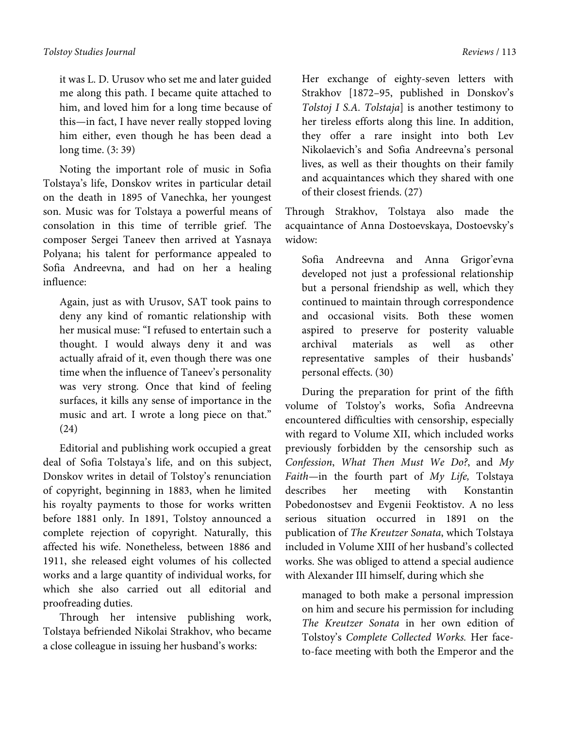it was L. D. Urusov who set me and later guided me along this path. I became quite attached to him, and loved him for a long time because of this—in fact, I have never really stopped loving him either, even though he has been dead a long time. (3: 39)

Noting the important role of music in Sofia Tolstaya's life, Donskov writes in particular detail on the death in 1895 of Vanechka, her youngest son. Music was for Tolstaya a powerful means of consolation in this time of terrible grief. The composer Sergei Taneev then arrived at Yasnaya Polyana; his talent for performance appealed to Sofia Andreevna, and had on her a healing influence:

Again, just as with Urusov, SAT took pains to deny any kind of romantic relationship with her musical muse: "I refused to entertain such a thought. I would always deny it and was actually afraid of it, even though there was one time when the influence of Taneev's personality was very strong. Once that kind of feeling surfaces, it kills any sense of importance in the music and art. I wrote a long piece on that." (24)

Editorial and publishing work occupied a great deal of Sofia Tolstaya's life, and on this subject, Donskov writes in detail of Tolstoy's renunciation of copyright, beginning in 1883, when he limited his royalty payments to those for works written before 1881 only. In 1891, Tolstoy announced a complete rejection of copyright. Naturally, this affected his wife. Nonetheless, between 1886 and 1911, she released eight volumes of his collected works and a large quantity of individual works, for which she also carried out all editorial and proofreading duties.

Through her intensive publishing work, Tolstaya befriended Nikolai Strakhov, who became a close colleague in issuing her husband's works:

Her exchange of eighty-seven letters with Strakhov [1872–95, published in Donskov's *Tolstoj I S.A. Tolstaja*] is another testimony to her tireless efforts along this line. In addition, they offer a rare insight into both Lev Nikolaevich's and Sofia Andreevna's personal lives, as well as their thoughts on their family and acquaintances which they shared with one of their closest friends. (27)

Through Strakhov, Tolstaya also made the acquaintance of Anna Dostoevskaya, Dostoevsky's widow:

Sofia Andreevna and Anna Grigor'evna developed not just a professional relationship but a personal friendship as well, which they continued to maintain through correspondence and occasional visits. Both these women aspired to preserve for posterity valuable archival materials as well as other representative samples of their husbands' personal effects. (30)

During the preparation for print of the fifth volume of Tolstoy's works, Sofia Andreevna encountered difficulties with censorship, especially with regard to Volume XII, which included works previously forbidden by the censorship such as *Confession*, *What Then Must We Do?*, and *My Faith—*in the fourth part of *My Life,* Tolstaya describes her meeting with Konstantin Pobedonostsev and Evgenii Feoktistov. A no less serious situation occurred in 1891 on the publication of *The Kreutzer Sonata*, which Tolstaya included in Volume XIII of her husband's collected works. She was obliged to attend a special audience with Alexander III himself, during which she

managed to both make a personal impression on him and secure his permission for including *The Kreutzer Sonata* in her own edition of Tolstoy's *Complete Collected Works.* Her faceto-face meeting with both the Emperor and the